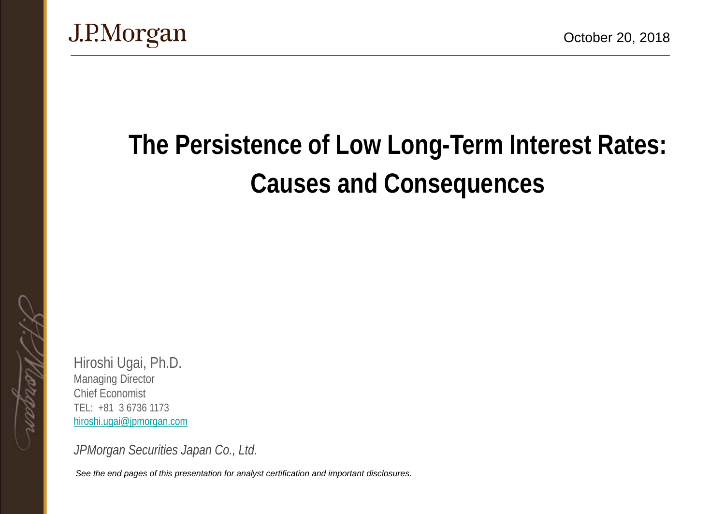

# **The Persistence of Low Long-Term Interest Rates: Causes and Consequences**

Hiroshi Ugai, Ph.D. Managing Director Chief Economist TEL: +81 3 6736 1173 [hiroshi.ugai@jpmorgan.com](mailto:hiroshi.ugai@jpmorgan.com)

*JPMorgan Securities Japan Co., Ltd.*

*See the end pages of this presentation for analyst certification and important disclosures.*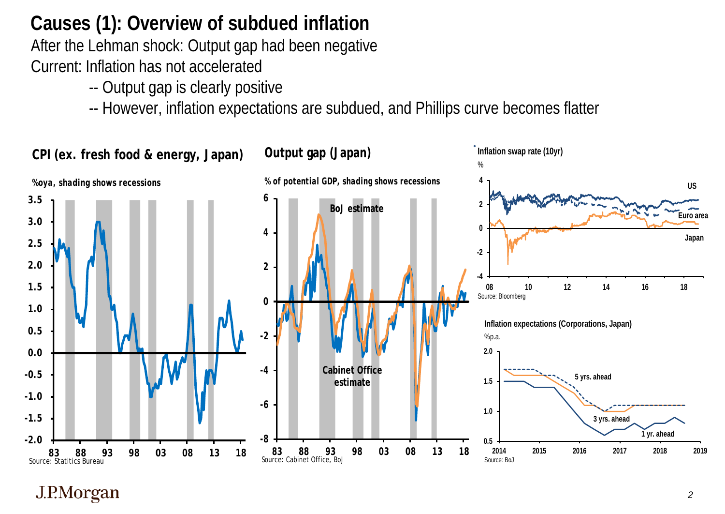## **Causes (1): Overview of subdued inflation**

After the Lehman shock: Output gap had been negative Current: Inflation has not accelerated

- -- Output gap is clearly positive
- -- However, inflation expectations are subdued, and Phillips curve becomes flatter

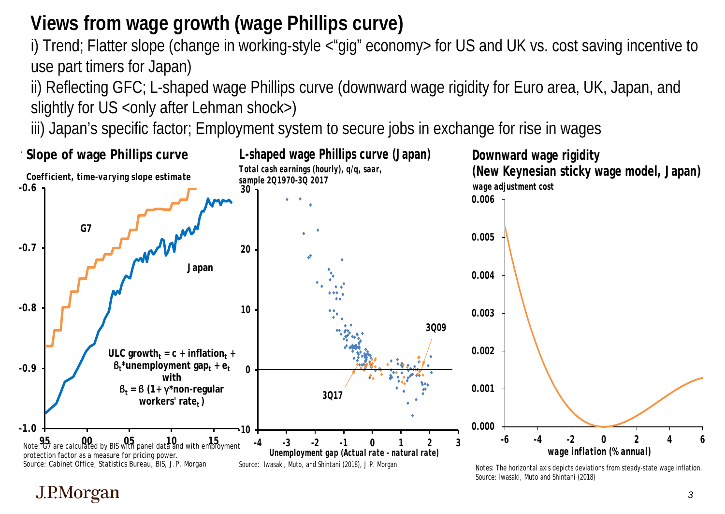## **Views from wage growth (wage Phillips curve)**

i) Trend; Flatter slope (change in working-style <"gig" economy> for US and UK vs. cost saving incentive to use part timers for Japan)

ii) Reflecting GFC; L-shaped wage Phillips curve (downward wage rigidity for Euro area, UK, Japan, and slightly for US < only after Lehman shock>)

iii) Japan's specific factor; Employment system to secure jobs in exchange for rise in wages

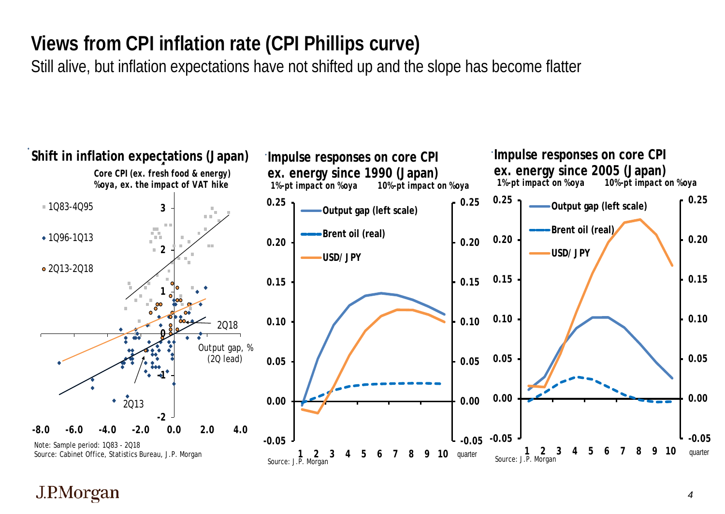## **Views from CPI inflation rate (CPI Phillips curve)**

Still alive, but inflation expectations have not shifted up and the slope has become flatter

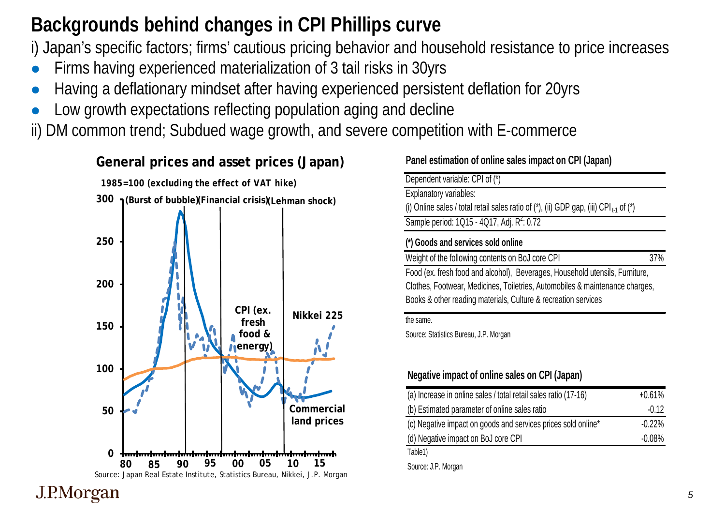## **Backgrounds behind changes in CPI Phillips curve**

i) Japan's specific factors; firms' cautious pricing behavior and household resistance to price increases

- Firms having experienced materialization of 3 tail risks in 30yrs
- Having a deflationary mindset after having experienced persistent deflation for 20yrs
- Low growth expectations reflecting population aging and decline

ii) DM common trend; Subdued wage growth, and severe competition with E-commerce



**Panel estimation of online sales impact on CPI (Japan)**

| Dependent variable: CPI of (*)                                                                        |     |
|-------------------------------------------------------------------------------------------------------|-----|
| Explanatory variables:                                                                                |     |
| (i) Online sales / total retail sales ratio of $(*)$ , (ii) GDP gap, (iii) CPI <sub>t1</sub> of $(*)$ |     |
| Sample period: 1Q15 - 4Q17, Adj. R <sup>2</sup> : 0.72                                                |     |
| (*) Goods and services sold online                                                                    |     |
|                                                                                                       |     |
| Weight of the following contents on BoJ core CPI                                                      | 37% |
| Food (ex. fresh food and alcohol), Beverages, Household utensils, Furniture,                          |     |
| Clothes, Footwear, Medicines, Toiletries, Automobiles & maintenance charges,                          |     |
| Books & other reading materials, Culture & recreation services                                        |     |

Source: Statistics Bureau, J.P. Morgan

#### **Negative impact of online sales on CPI (Japan)**

| (a) Increase in online sales / total retail sales ratio (17-16)           | $+0.61%$ |
|---------------------------------------------------------------------------|----------|
| (b) Estimated parameter of online sales ratio                             | $-0.12$  |
| (c) Negative impact on goods and services prices sold online <sup>*</sup> | $-0.22%$ |
| (d) Negative impact on BoJ core CPI                                       | $-0.08%$ |
| Table1)                                                                   |          |

Source: J.P. Morgan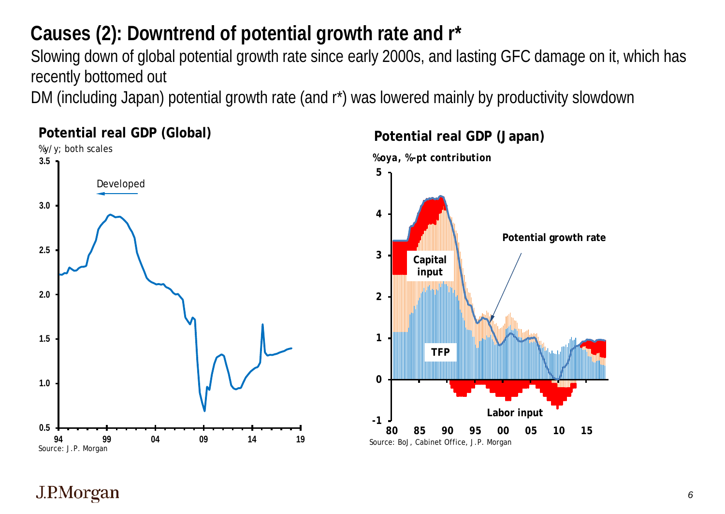## **Causes (2): Downtrend of potential growth rate and r\***

Slowing down of global potential growth rate since early 2000s, and lasting GFC damage on it, which has recently bottomed out

DM (including Japan) potential growth rate (and r\*) was lowered mainly by productivity slowdown



#### **Potential real GDP (Global)**



#### **Potential real GDP (Japan)**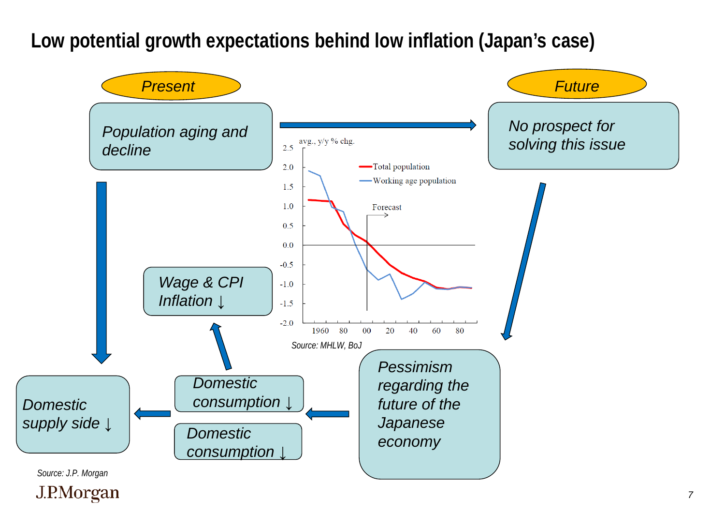**Low potential growth expectations behind low inflation (Japan's case)**



*7*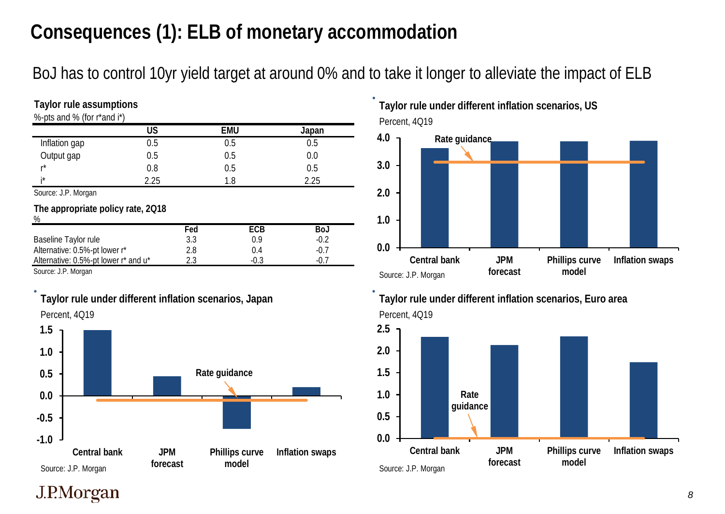## **Consequences (1): ELB of monetary accommodation**

BoJ has to control 10yr yield target at around 0% and to take it longer to alleviate the impact of ELB

| Taylor rule assumptions                |           |     |            |        |  |  |  |
|----------------------------------------|-----------|-----|------------|--------|--|--|--|
| %-pts and % (for r*and i*)             |           |     |            |        |  |  |  |
|                                        | <b>US</b> |     | <b>EMU</b> | Japan  |  |  |  |
| Inflation gap                          | 0.5       |     | 0.5        | 0.5    |  |  |  |
| Output gap                             | 0.5       |     | 0.5        | 0.0    |  |  |  |
| r*                                     | 0.8       |     | 0.5        | 0.5    |  |  |  |
| i*                                     | 2.25      |     | 1.8        | 2.25   |  |  |  |
| Source: J.P. Morgan                    |           |     |            |        |  |  |  |
| The appropriate policy rate, 2018<br>% |           |     |            |        |  |  |  |
|                                        |           | Fed | <b>ECB</b> | BoJ    |  |  |  |
| Baseline Taylor rule                   |           | 3.3 | 0.9        | $-0.2$ |  |  |  |
| Alternative: 0.5%-pt lower r*          |           | 2.8 | 0.4        | $-0.7$ |  |  |  |
| Alternative: 0.5%-pt lower r* and u*   |           | 2.3 | $-0.3$     | $-0.7$ |  |  |  |

Source: J.P. Morgan



**Taylor rule under different inflation scenarios, Japan**

Percent, 4Q19 **Taylor rule under different inflation scenarios, US**





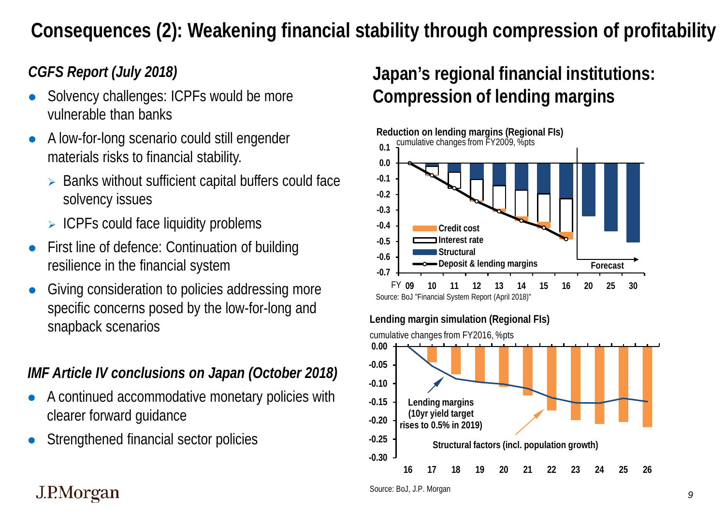## **Consequences (2): Weakening financial stability through compression of profitability**

#### *CGFS Report (July 2018)*

- Solvency challenges: ICPFs would be more vulnerable than banks
- A low-for-long scenario could still engender materials risks to financial stability.
	- $\triangleright$  Banks without sufficient capital buffers could face solvency issues
	- $\triangleright$  ICPFs could face liquidity problems
- First line of defence: Continuation of building resilience in the financial system
- Giving consideration to policies addressing more specific concerns posed by the low-for-long and snapback scenarios

#### *IMF Article IV conclusions on Japan (October 2018)*

- A continued accommodative monetary policies with clearer forward guidance
- Strengthened financial sector policies

## **Japan's regional financial institutions: Compression of lending margins**



### J.P.Morgan

Source: BoJ, J.P. Morgan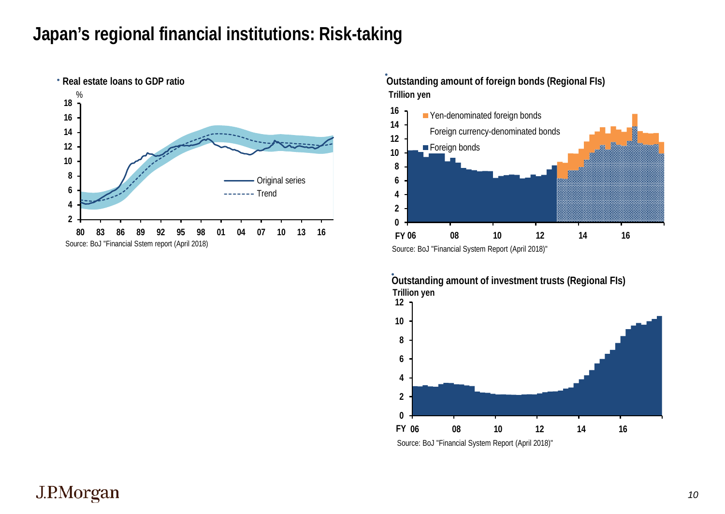#### **Japan's regional financial institutions: Risk-taking**



**Trillion yen Outstanding amount of foreign bonds (Regional FIs)**



**Outstanding amount of investment trusts (Regional FIs) Trillion yen**

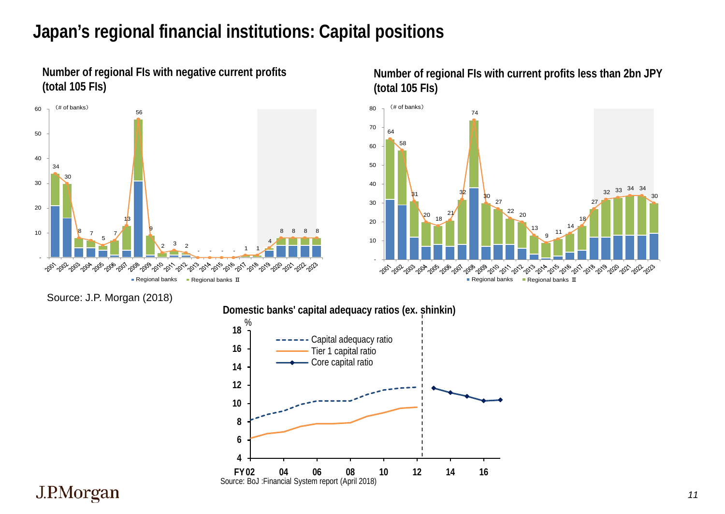### **Japan's regional financial institutions: Capital positions**





Source: J.P. Morgan (2018)



**Number of regional FIs with current profits less than 2bn JPY (total 105 FIs)**

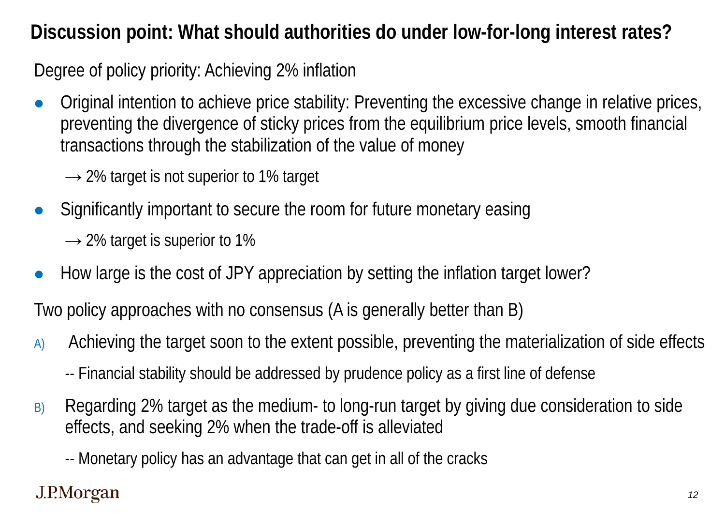## **Discussion point: What should authorities do under low-for-long interest rates?**

Degree of policy priority: Achieving 2% inflation

 Original intention to achieve price stability: Preventing the excessive change in relative prices, preventing the divergence of sticky prices from the equilibrium price levels, smooth financial transactions through the stabilization of the value of money

 $\rightarrow$  2% target is not superior to 1% target

- Significantly important to secure the room for future monetary easing  $\rightarrow$  2% target is superior to 1%
- How large is the cost of JPY appreciation by setting the inflation target lower?

Two policy approaches with no consensus (A is generally better than B)

- A) Achieving the target soon to the extent possible, preventing the materialization of side effects
	- -- Financial stability should be addressed by prudence policy as a first line of defense
- B) Regarding 2% target as the medium- to long-run target by giving due consideration to side effects, and seeking 2% when the trade-off is alleviated

-- Monetary policy has an advantage that can get in all of the cracks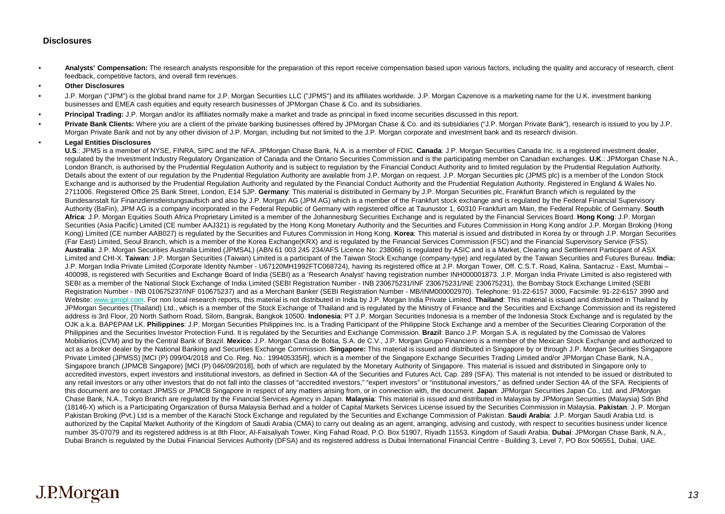#### **Disclosures**

- **Analysts' Compensation:** The research analysts responsible for the preparation of this report receive compensation based upon various factors, including the quality and accuracy of research, client feedback, competitive factors, and overall firm revenues.
- **Other Disclosures**
- J.P. Morgan ("JPM") is the global brand name for J.P. Morgan Securities LLC ("JPMS") and its affiliates worldwide. J.P. Morgan Cazenove is a marketing name for the U.K. investment banking businesses and EMEA cash equities and equity research businesses of JPMorgan Chase & Co. and its subsidiaries.
- **Principal Trading:** J.P. Morgan and/or its affiliates normally make a market and trade as principal in fixed income securities discussed in this report.
- Private Bank Clients: Where you are a client of the private banking businesses offered by JPMorgan Chase & Co. and its subsidiaries ("J.P. Morgan Private Bank"), research is issued to you by J.P. Morgan Private Bank and not by any other division of J.P. Morgan, including but not limited to the J.P. Morgan corporate and investment bank and its research division.

#### • **Legal Entities Disclosures**

**U.S**.: JPMS is a member of NYSE, FINRA, SIPC and the NFA. JPMorgan Chase Bank, N.A. is a member of FDIC. **Canada**: J.P. Morgan Securities Canada Inc. is a registered investment dealer, regulated by the Investment Industry Regulatory Organization of Canada and the Ontario Securities Commission and is the participating member on Canadian exchanges. **U.K**.: JPMorgan Chase N.A., London Branch, is authorised by the Prudential Regulation Authority and is subject to regulation by the Financial Conduct Authority and to limited regulation by the Prudential Regulation Authority. Details about the extent of our regulation by the Prudential Regulation Authority are available from J.P. Morgan on request. J.P. Morgan Securities plc (JPMS plc) is a member of the London Stock Exchange and is authorised by the Prudential Regulation Authority and regulated by the Financial Conduct Authority and the Prudential Regulation Authority. Registered in England & Wales No. 2711006. Registered Office 25 Bank Street, London, E14 5JP. **Germany**: This material is distributed in Germany by J.P. Morgan Securities plc, Frankfurt Branch which is regulated by the Bundesanstalt für Finanzdienstleistungsaufsich and also by J.P. Morgan AG (JPM AG) which is a member of the Frankfurt stock exchange and is regulated by the Federal Financial Supervisory Authority (BaFin), JPM AG is a company incorporated in the Federal Republic of Germany with registered office at Taunustor 1, 60310 Frankfurt am Main, the Federal Republic of Germany. **South Africa**: J.P. Morgan Equities South Africa Proprietary Limited is a member of the Johannesburg Securities Exchange and is regulated by the Financial Services Board. **Hong Kong**: J.P. Morgan Securities (Asia Pacific) Limited (CE number AAJ321) is regulated by the Hong Kong Monetary Authority and the Securities and Futures Commission in Hong Kong and/or J.P. Morgan Broking (Hong Kong) Limited (CE number AAB027) is regulated by the Securities and Futures Commission in Hong Kong. **Korea**: This material is issued and distributed in Korea by or through J.P. Morgan Securities (Far East) Limited, Seoul Branch, which is a member of the Korea Exchange(KRX) and is regulated by the Financial Services Commission (FSC) and the Financial Supervisory Service (FSS). **Australia**: J.P. Morgan Securities Australia Limited (JPMSAL) (ABN 61 003 245 234/AFS Licence No: 238066) is regulated by ASIC and is a Market, Clearing and Settlement Participant of ASX Limited and CHI-X. **Taiwan**: J.P. Morgan Securities (Taiwan) Limited is a participant of the Taiwan Stock Exchange (company-type) and regulated by the Taiwan Securities and Futures Bureau. **India:**  J.P. Morgan India Private Limited (Corporate Identity Number - U67120MH1992FTC068724), having its registered office at J.P. Morgan Tower, Off. C.S.T. Road, Kalina, Santacruz - East, Mumbai – 400098, is registered with Securities and Exchange Board of India (SEBI) as a 'Research Analyst' having registration number INH000001873. J.P. Morgan India Private Limited is also registered with SEBI as a member of the National Stock Exchange of India Limited (SEBI Registration Number - INB 230675231/INF 230675231/INE 230675231), the Bombay Stock Exchange Limited (SEBI Registration Number - INB 010675237/INF 010675237) and as a Merchant Banker (SEBI Registration Number - MB/INM000002970). Telephone: 91-22-6157 3000, Facsimile: 91-22-6157 3990 and Website: [www.jpmipl.com.](http://www.jpmipl.com/) For non local research reports, this material is not distributed in India by J.P. Morgan India Private Limited. **Thailand**: This material is issued and distributed in Thailand by JPMorgan Securities (Thailand) Ltd., which is a member of the Stock Exchange of Thailand and is regulated by the Ministry of Finance and the Securities and Exchange Commission and its registered address is 3rd Floor, 20 North Sathorn Road, Silom, Bangrak, Bangkok 10500. **Indonesia**: PT J.P. Morgan Securities Indonesia is a member of the Indonesia Stock Exchange and is regulated by the OJK a.k.a. BAPEPAM LK. **Philippines**: J.P. Morgan Securities Philippines Inc. is a Trading Participant of the Philippine Stock Exchange and a member of the Securities Clearing Corporation of the Philippines and the Securities Investor Protection Fund. It is regulated by the Securities and Exchange Commission. **Brazil**: Banco J.P. Morgan S.A. is regulated by the Comissao de Valores Mobiliarios (CVM) and by the Central Bank of Brazil. **Mexico**: J.P. Morgan Casa de Bolsa, S.A. de C.V., J.P. Morgan Grupo Financiero is a member of the Mexican Stock Exchange and authorized to act as a broker dealer by the National Banking and Securities Exchange Commission. **Singapore:** This material is issued and distributed in Singapore by or through J.P. Morgan Securities Singapore Private Limited (JPMSS) [MCI (P) 099/04/2018 and Co. Reg. No.: 199405335R], which is a member of the Singapore Exchange Securities Trading Limited and/or JPMorgan Chase Bank, N.A., Singapore branch (JPMCB Singapore) [MCI (P) 046/09/2018], both of which are regulated by the Monetary Authority of Singapore. This material is issued and distributed in Singapore only to accredited investors, expert investors and institutional investors, as defined in Section 4A of the Securities and Futures Act, Cap. 289 (SFA). This material is not intended to be issued or distributed to any retail investors or any other investors that do not fall into the classes of "accredited investors," "expert investors" or "institutional investors," as defined under Section 4A of the SFA. Recipients of this document are to contact JPMSS or JPMCB Singapore in respect of any matters arising from, or in connection with, the document. **Japan**: JPMorgan Securities Japan Co., Ltd. and JPMorgan Chase Bank, N.A., Tokyo Branch are regulated by the Financial Services Agency in Japan. **Malaysia**: This material is issued and distributed in Malaysia by JPMorgan Securities (Malaysia) Sdn Bhd (18146-X) which is a Participating Organization of Bursa Malaysia Berhad and a holder of Capital Markets Services License issued by the Securities Commission in Malaysia. **Pakistan**: J. P. Morgan Pakistan Broking (Pvt.) Ltd is a member of the Karachi Stock Exchange and regulated by the Securities and Exchange Commission of Pakistan. **Saudi Arabia**: J.P. Morgan Saudi Arabia Ltd. is authorized by the Capital Market Authority of the Kingdom of Saudi Arabia (CMA) to carry out dealing as an agent, arranging, advising and custody, with respect to securities business under licence number 35-07079 and its registered address is at 8th Floor, Al-Faisaliyah Tower, King Fahad Road, P.O. Box 51907, Riyadh 11553, Kingdom of Saudi Arabia. **Dubai**: JPMorgan Chase Bank, N.A., Dubai Branch is regulated by the Dubai Financial Services Authority (DFSA) and its registered address is Dubai International Financial Centre - Building 3, Level 7, PO Box 506551, Dubai, UAE.